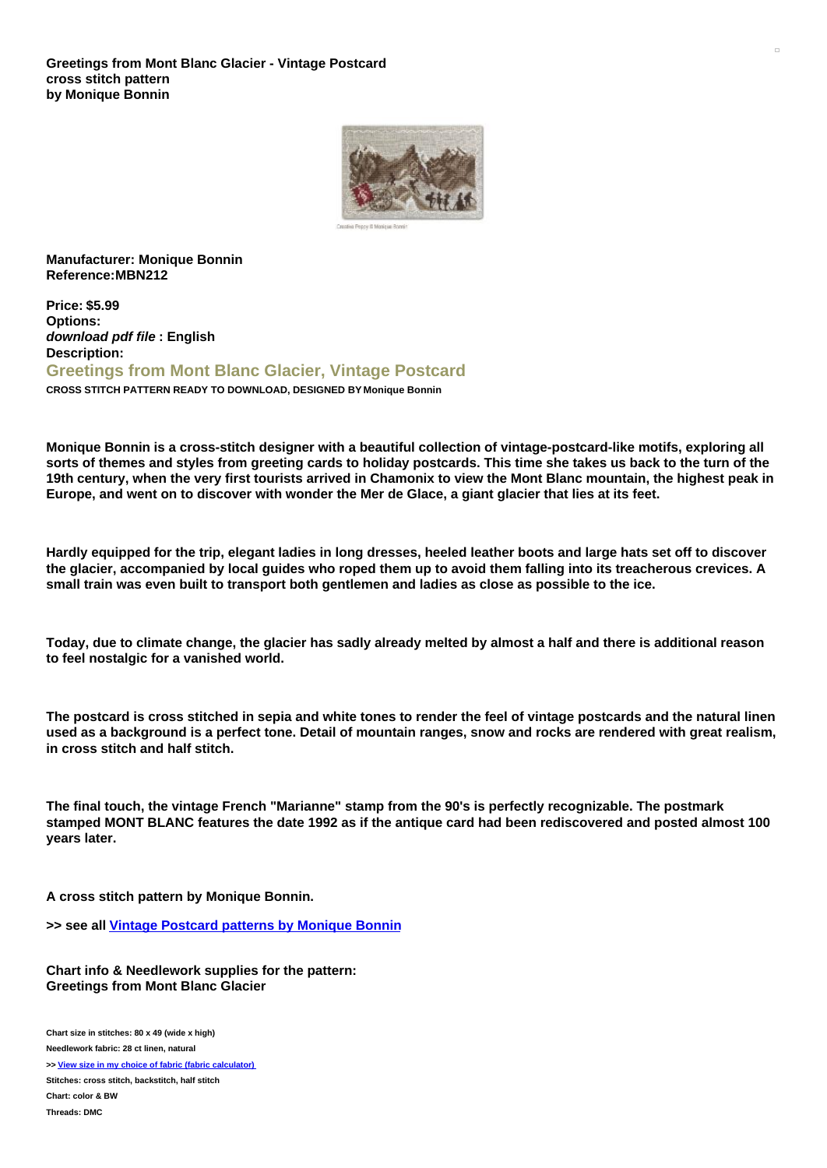

**Manufacturer: Monique Bonnin Reference:MBN212**

**Price: \$5.99 Options:** *download pdf file* **: English Description: Greetings from Mont Blanc Glacier, Vintage Postcard CROSS STITCH PATTERN READY TO DOWNLOAD, DESIGNED BY Monique Bonnin**

**Monique Bonnin is a cross-stitch designer with a beautiful collection of vintage-postcard-like motifs, exploring all** sorts of themes and styles from greeting cards to holiday postcards. This time she takes us back to the turn of the 19th century, when the very first tourists arrived in Chamonix to view the Mont Blanc mountain, the highest peak in Europe, and went on to discover with wonder the Mer de Glace, a giant glacier that lies at its feet.

Hardly equipped for the trip, elegant ladies in long dresses, heeled leather boots and large hats set off to discover the glacier, accompanied by local quides who roped them up to avoid them falling into its treacherous crevices. A **small train was even built to transport both gentlemen and ladies as close as possible to the ice.**

Today, due to climate change, the glacier has sadly already melted by almost a half and there is additional reason **to feel nostalgic for a vanished world.**

The postcard is cross stitched in sepia and white tones to render the feel of vintage postcards and the natural linen used as a background is a perfect tone. Detail of mountain ranges, snow and rocks are rendered with great realism, **in cross stitch and half stitch.**

**The final touch, the vintage French "Marianne" stamp from the 90's is perfectly recognizable. The postmark** stamped MONT BLANC features the date 1992 as if the antique card had been rediscovered and posted almost 100 **years later.**

**A cross stitch pattern by Monique Bonnin.**

**>> see all Vintage [Postcard](https://www.creativepoppypatterns.com/monique-bonnin-vintage-postcards-xsl-296_330_331.html) patterns by Monique Bonnin**

**Chart info & Needlework supplies for the pattern: Greetings from Mont Blanc Glacier**

**Chart size in stitches: 80 x 49 (wide x high) Needlework fabric: 28 ct linen, natural >> View size in my choice of fabric (fabric [calculator\)](https://www.creativepoppypatterns.com/calculette-de-toile.php?products_id=3972&w=80&h=49) Stitches: cross stitch, backstitch, half stitch Chart: color & BW Threads: DMC**